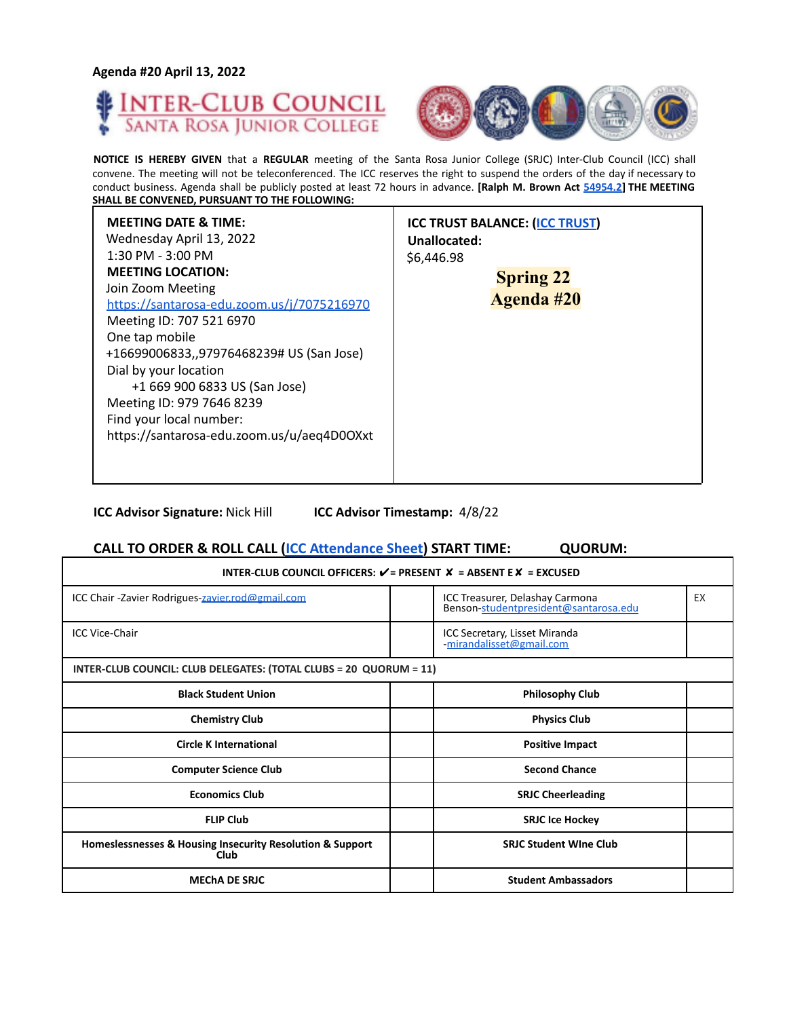#### **Agenda #20 April 13, 2022**





**NOTICE IS HEREBY GIVEN** that a **REGULAR** meeting of the Santa Rosa Junior College (SRJC) Inter-Club Council (ICC) shall convene. The meeting will not be teleconferenced. The ICC reserves the right to suspend the orders of the day if necessary to conduct business. Agenda shall be publicly posted at least 72 hours in advance. **[Ralph M. Brown Act 54954.2] THE MEETING SHALL BE CONVENED, PURSUANT TO THE FOLLOWING:**

| <b>MEETING DATE &amp; TIME:</b><br><b>ICC TRUST BALANCE: (ICC TRUST)</b><br>Wednesday April 13, 2022<br>Unallocated:<br>$1:30$ PM - $3:00$ PM<br>\$6,446.98<br><b>MEETING LOCATION:</b><br>Join Zoom Meeting<br>https://santarosa-edu.zoom.us/j/7075216970<br>Meeting ID: 707 521 6970<br>One tap mobile<br>+16699006833,,97976468239# US (San Jose)<br>Dial by your location<br>+1 669 900 6833 US (San Jose)<br>Meeting ID: 979 7646 8239<br>Find your local number:<br>https://santarosa-edu.zoom.us/u/aeq4D0OXxt | <b>Spring 22</b><br><b>Agenda #20</b> |
|----------------------------------------------------------------------------------------------------------------------------------------------------------------------------------------------------------------------------------------------------------------------------------------------------------------------------------------------------------------------------------------------------------------------------------------------------------------------------------------------------------------------|---------------------------------------|
|----------------------------------------------------------------------------------------------------------------------------------------------------------------------------------------------------------------------------------------------------------------------------------------------------------------------------------------------------------------------------------------------------------------------------------------------------------------------------------------------------------------------|---------------------------------------|

**ICC Advisor Signature:** Nick Hill **ICC Advisor Timestamp:** 4/8/22

### **CALL TO ORDER & ROLL CALL (ICC Attendance Sheet) START TIME: QUORUM:**

| INTER-CLUB COUNCIL OFFICERS: $V =$ PRESENT $X =$ ABSENT E $X =$ EXCUSED |  |                                                                          |    |
|-------------------------------------------------------------------------|--|--------------------------------------------------------------------------|----|
| ICC Chair - Zavier Rodrigues-zavier.rod@gmail.com                       |  | ICC Treasurer, Delashay Carmona<br>Benson-studentpresident@santarosa.edu | EX |
| <b>ICC Vice-Chair</b>                                                   |  | ICC Secretary, Lisset Miranda<br>-mirandalisset@gmail.com                |    |
| INTER-CLUB COUNCIL: CLUB DELEGATES: (TOTAL CLUBS = 20 QUORUM = 11)      |  |                                                                          |    |
| <b>Black Student Union</b>                                              |  | <b>Philosophy Club</b>                                                   |    |
| <b>Chemistry Club</b>                                                   |  | <b>Physics Club</b>                                                      |    |
| <b>Circle K International</b>                                           |  | <b>Positive Impact</b>                                                   |    |
| <b>Computer Science Club</b>                                            |  | <b>Second Chance</b>                                                     |    |
| <b>Economics Club</b>                                                   |  | <b>SRJC Cheerleading</b>                                                 |    |
| <b>FLIP Club</b>                                                        |  | <b>SRJC Ice Hockey</b>                                                   |    |
| Homeslessnesses & Housing Insecurity Resolution & Support<br>Club       |  | <b>SRIC Student Wine Club</b>                                            |    |
| <b>MECHA DE SRJC</b>                                                    |  | <b>Student Ambassadors</b>                                               |    |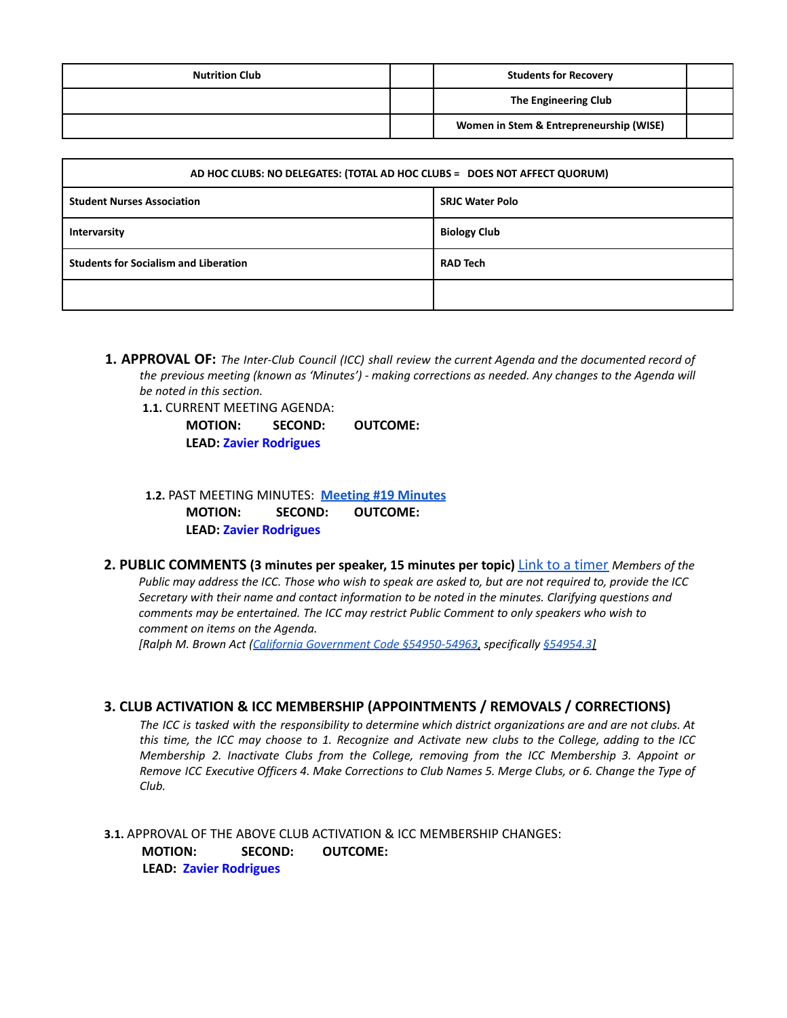| <b>Nutrition Club</b> | <b>Students for Recovery</b>            |  |
|-----------------------|-----------------------------------------|--|
|                       | The Engineering Club                    |  |
|                       | Women in Stem & Entrepreneurship (WISE) |  |

| AD HOC CLUBS: NO DELEGATES: (TOTAL AD HOC CLUBS = DOES NOT AFFECT QUORUM) |                        |  |
|---------------------------------------------------------------------------|------------------------|--|
| <b>Student Nurses Association</b>                                         | <b>SRJC Water Polo</b> |  |
| Intervarsity                                                              | <b>Biology Club</b>    |  |
| <b>Students for Socialism and Liberation</b>                              | <b>RAD Tech</b>        |  |
|                                                                           |                        |  |

**1. APPROVAL OF:** *The Inter-Club Council (ICC) shall review the current Agenda and the documented record of the previous meeting (known as 'Minutes') - making corrections as needed. Any changes to the Agenda will be noted in this section.*

**1.1.** CURRENT MEETING AGENDA:

**MOTION: SECOND: OUTCOME: LEAD: Zavier Rodrigues**

**1.2.** PAST MEETING MINUTES: **[Meeting](https://docs.google.com/document/d/1zhyCGQwinOBMrTT4TqazDZG_8kiaDu3sGuolsBki9D8/edit?usp=sharing) #19 Minutes MOTION: SECOND: OUTCOME: LEAD: Zavier Rodrigues**

**2. PUBLIC COMMENTS (3 minutes per speaker, 15 minutes per topic)** Link to a timer *Members of the* Public may address the ICC. Those who wish to speak are asked to, but are not required to, provide the ICC *Secretary with their name and contact information to be noted in the minutes. Clarifying questions and comments may be entertained. The ICC may restrict Public Comment to only speakers who wish to comment on items on the Agenda.*

*[Ralph M. Brown Act (California Government Code §54950-54963, specifically §54954.3]*

### **3. CLUB ACTIVATION & ICC MEMBERSHIP (APPOINTMENTS / REMOVALS / CORRECTIONS)**

The ICC is tasked with the responsibility to determine which district organizations are and are not clubs. At this time, the ICC may choose to 1. Recognize and Activate new clubs to the College, adding to the ICC *Membership 2. Inactivate Clubs from the College, removing from the ICC Membership 3. Appoint or* Remove ICC Executive Officers 4. Make Corrections to Club Names 5. Merge Clubs, or 6. Change the Type of *Club.*

**3.1.** APPROVAL OF THE ABOVE CLUB ACTIVATION & ICC MEMBERSHIP CHANGES: **MOTION: SECOND: OUTCOME: LEAD: Zavier Rodrigues**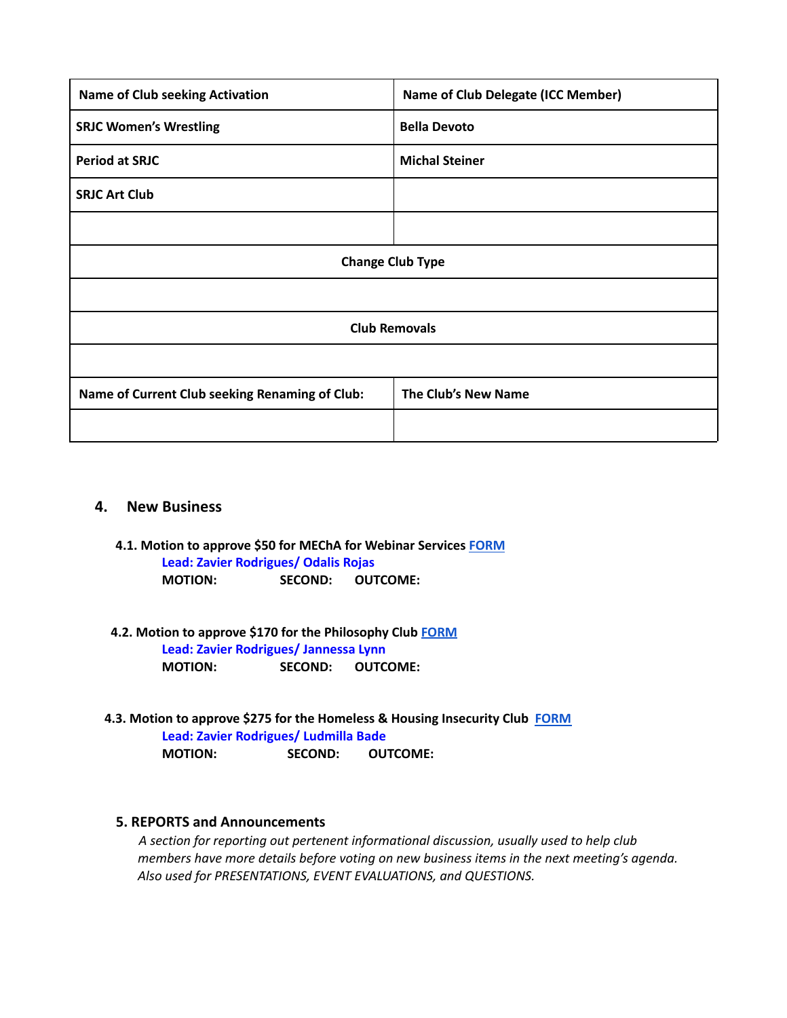| <b>Name of Club seeking Activation</b>         | <b>Name of Club Delegate (ICC Member)</b> |  |
|------------------------------------------------|-------------------------------------------|--|
| <b>SRJC Women's Wrestling</b>                  | <b>Bella Devoto</b>                       |  |
| <b>Period at SRJC</b>                          | <b>Michal Steiner</b>                     |  |
| <b>SRJC Art Club</b>                           |                                           |  |
|                                                |                                           |  |
| <b>Change Club Type</b>                        |                                           |  |
|                                                |                                           |  |
| <b>Club Removals</b>                           |                                           |  |
|                                                |                                           |  |
| Name of Current Club seeking Renaming of Club: | The Club's New Name                       |  |
|                                                |                                           |  |

## **4. New Business**

- **4.1. Motion to approve \$50 for MEChA for Webinar Services [FORM](https://drive.google.com/file/d/1xM1ttcalAEYzl7y7lNJ4VYrEKHm7a8ih/view?usp=sharing) Lead: Zavier Rodrigues/ Odalis Rojas MOTION: SECOND: OUTCOME:**
- **4.2. Motion to approve \$170 for the Philosophy Club [FORM](https://drive.google.com/file/d/1_d0_lVCggVyTmy6rVvTmNEfL2FFv1nd2/view?usp=sharing) Lead: Zavier Rodrigues/ Jannessa Lynn MOTION: SECOND: OUTCOME:**
- **4.3. Motion to approve \$275 for the Homeless & Housing Insecurity Club [FORM](https://drive.google.com/file/d/1WxDVYYq9eHZOar4mF26JnX6Kxm6ERzrs/view?usp=sharing) Lead: Zavier Rodrigues/ Ludmilla Bade MOTION: SECOND: OUTCOME:**

## **5. REPORTS and Announcements**

*A section for reporting out pertenent informational discussion, usually used to help club members have more details before voting on new business items in the next meeting's agenda. Also used for PRESENTATIONS, EVENT EVALUATIONS, and QUESTIONS.*